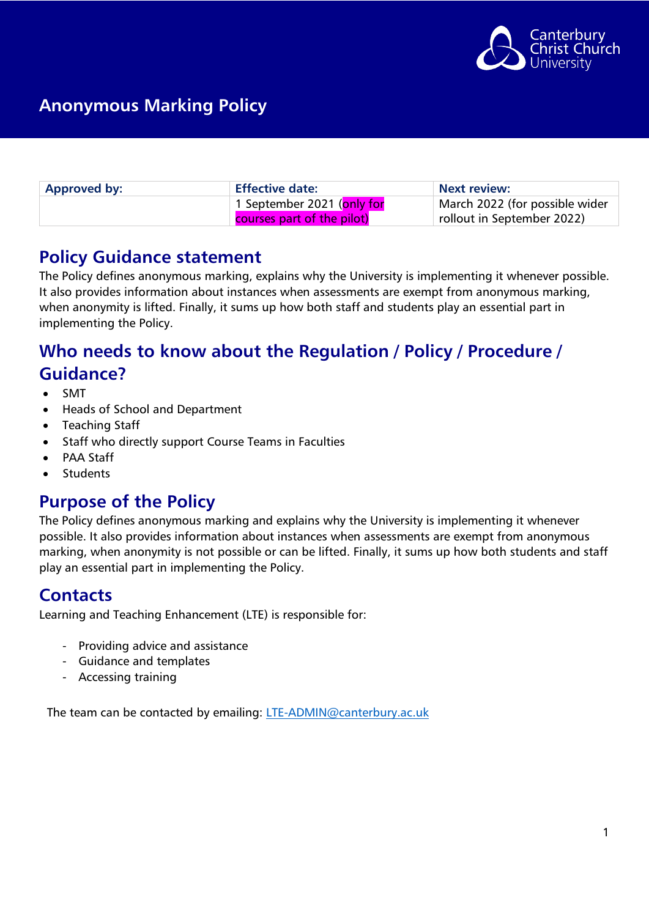

| <b>Approved by:</b> | <b>Effective date:</b>                   | <b>Next review:</b>            |
|---------------------|------------------------------------------|--------------------------------|
|                     | 1 September 2021 ( <mark>only for</mark> | March 2022 (for possible wider |
|                     | courses part of the pilot)               | rollout in September 2022)     |

### **Policy Guidance statement**

The Policy defines anonymous marking, explains why the University is implementing it whenever possible. It also provides information about instances when assessments are exempt from anonymous marking, when anonymity is lifted. Finally, it sums up how both staff and students play an essential part in implementing the Policy.

## **Who needs to know about the Regulation / Policy / Procedure / Guidance?**

- SMT
- Heads of School and Department
- Teaching Staff
- Staff who directly support Course Teams in Faculties
- PAA Staff
- **Students**

### **Purpose of the Policy**

The Policy defines anonymous marking and explains why the University is implementing it whenever possible. It also provides information about instances when assessments are exempt from anonymous marking, when anonymity is not possible or can be lifted. Finally, it sums up how both students and staff play an essential part in implementing the Policy.

### **Contacts**

Learning and Teaching Enhancement (LTE) is responsible for:

- Providing advice and assistance
- Guidance and templates
- Accessing training

The team can be contacted by emailing: [LTE-ADMIN@canterbury.ac.uk](mailto:LTE-ADMIN@canterbury.ac.uk)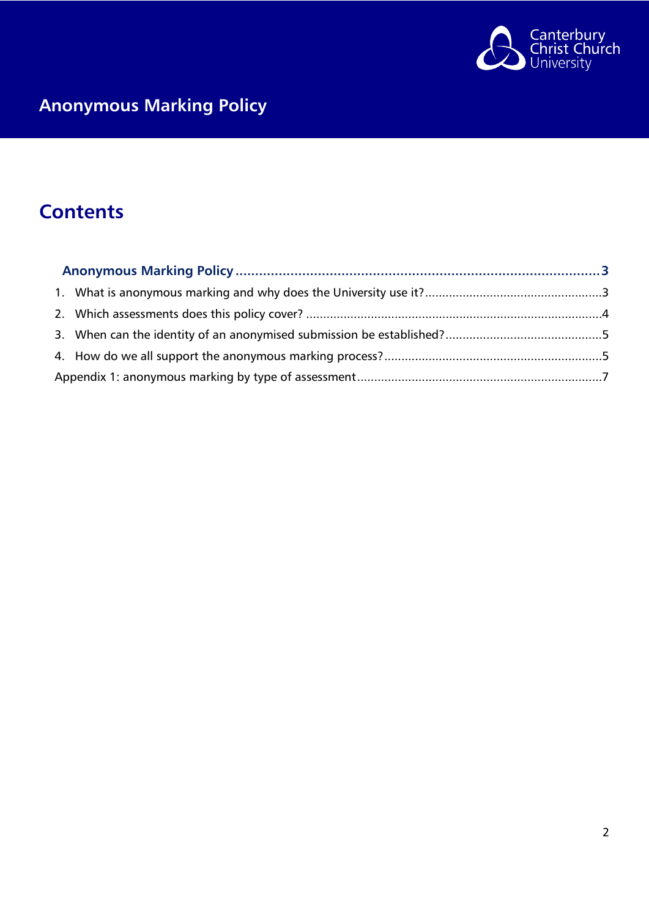

# **Contents**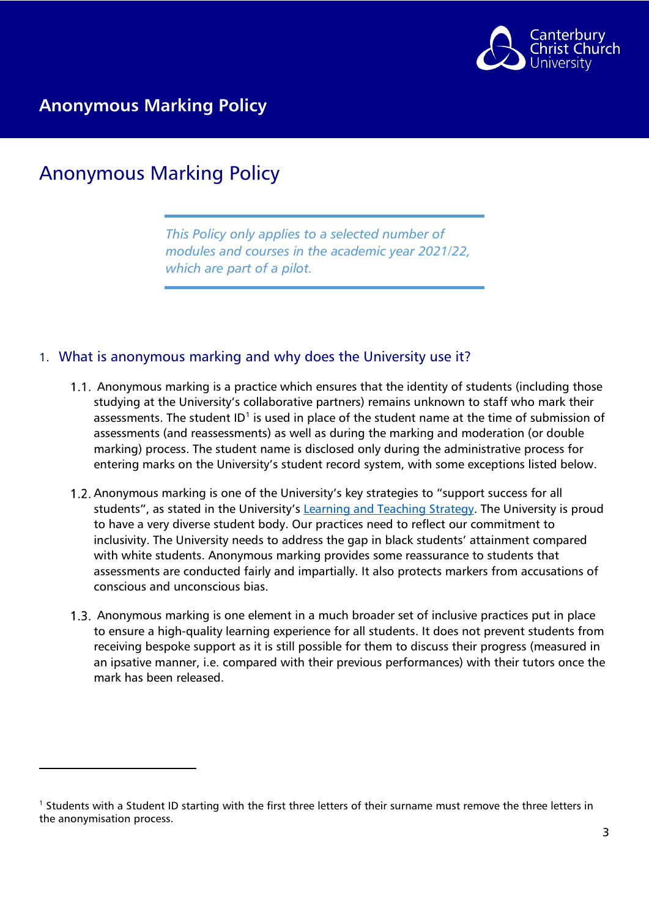

## <span id="page-2-0"></span>Anonymous Marking Policy

*This Policy only applies to a selected number of modules and courses in the academic year 2021/22, which are part of a pilot.* 

#### <span id="page-2-1"></span>1. What is anonymous marking and why does the University use it?

- 1.1. Anonymous marking is a practice which ensures that the identity of students (including those studying at the University's collaborative partners) remains unknown to staff who mark their assessments. The student  $ID<sup>1</sup>$  $ID<sup>1</sup>$  $ID<sup>1</sup>$  is used in place of the student name at the time of submission of assessments (and reassessments) as well as during the marking and moderation (or double marking) process. The student name is disclosed only during the administrative process for entering marks on the University's student record system, with some exceptions listed below.
- 1.2. Anonymous marking is one of the University's key strategies to "support success for all students", as stated in the University's [Learning and Teaching Strategy.](https://www.canterbury.ac.uk/learning-and-teaching-enhancement/strategies/learning-and-teaching-strategy.aspx) The University is proud to have a very diverse student body. Our practices need to reflect our commitment to inclusivity. The University needs to address the gap in black students' attainment compared with white students. Anonymous marking provides some reassurance to students that assessments are conducted fairly and impartially. It also protects markers from accusations of conscious and unconscious bias.
- 1.3. Anonymous marking is one element in a much broader set of inclusive practices put in place to ensure a high-quality learning experience for all students. It does not prevent students from receiving bespoke support as it is still possible for them to discuss their progress (measured in an ipsative manner, i.e. compared with their previous performances) with their tutors once the mark has been released.

<span id="page-2-2"></span><sup>1</sup> Students with a Student ID starting with the first three letters of their surname must remove the three letters in the anonymisation process.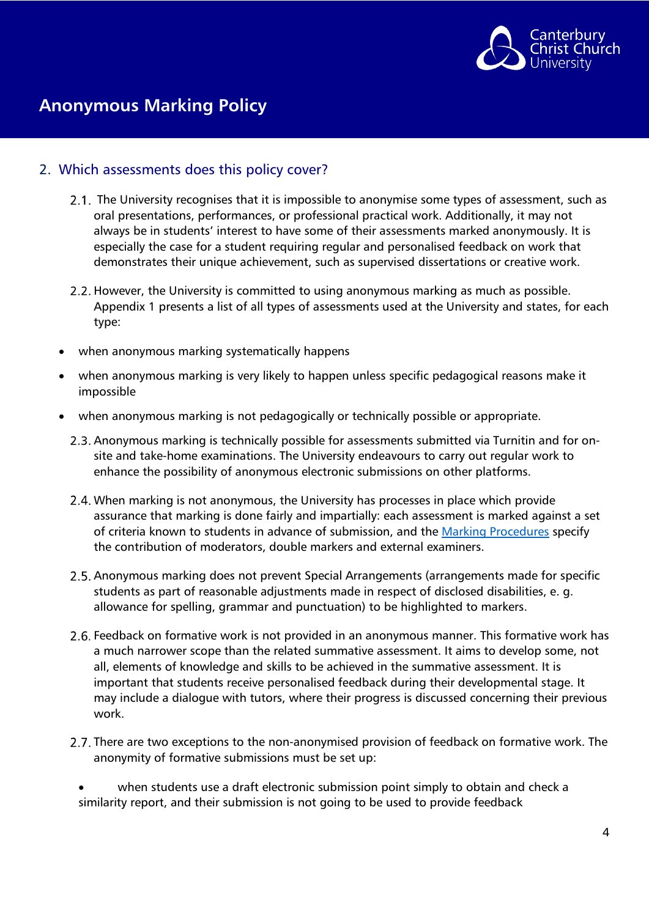

#### <span id="page-3-0"></span>2. Which assessments does this policy cover?

- 2.1. The University recognises that it is impossible to anonymise some types of assessment, such as oral presentations, performances, or professional practical work. Additionally, it may not always be in students' interest to have some of their assessments marked anonymously. It is especially the case for a student requiring regular and personalised feedback on work that demonstrates their unique achievement, such as supervised dissertations or creative work.
- 2.2. However, the University is committed to using anonymous marking as much as possible. Appendix 1 presents a list of all types of assessments used at the University and states, for each type:
- when anonymous marking systematically happens
- when anonymous marking is very likely to happen unless specific pedagogical reasons make it impossible
- when anonymous marking is not pedagogically or technically possible or appropriate.
	- 2.3. Anonymous marking is technically possible for assessments submitted via Turnitin and for onsite and take-home examinations. The University endeavours to carry out regular work to enhance the possibility of anonymous electronic submissions on other platforms.
	- When marking is not anonymous, the University has processes in place which provide assurance that marking is done fairly and impartially: each assessment is marked against a set of criteria known to students in advance of submission, and the [Marking Procedures](https://www.canterbury.ac.uk/quality-and-standards-office/regulations-policies-and-procedures/marking-procedures.aspx) specify the contribution of moderators, double markers and external examiners.
	- 2.5. Anonymous marking does not prevent Special Arrangements (arrangements made for specific students as part of reasonable adjustments made in respect of disclosed disabilities, e. g. allowance for spelling, grammar and punctuation) to be highlighted to markers.
	- 2.6. Feedback on formative work is not provided in an anonymous manner. This formative work has a much narrower scope than the related summative assessment. It aims to develop some, not all, elements of knowledge and skills to be achieved in the summative assessment. It is important that students receive personalised feedback during their developmental stage. It may include a dialogue with tutors, where their progress is discussed concerning their previous work.
	- 2.7. There are two exceptions to the non-anonymised provision of feedback on formative work. The anonymity of formative submissions must be set up:

when students use a draft electronic submission point simply to obtain and check a similarity report, and their submission is not going to be used to provide feedback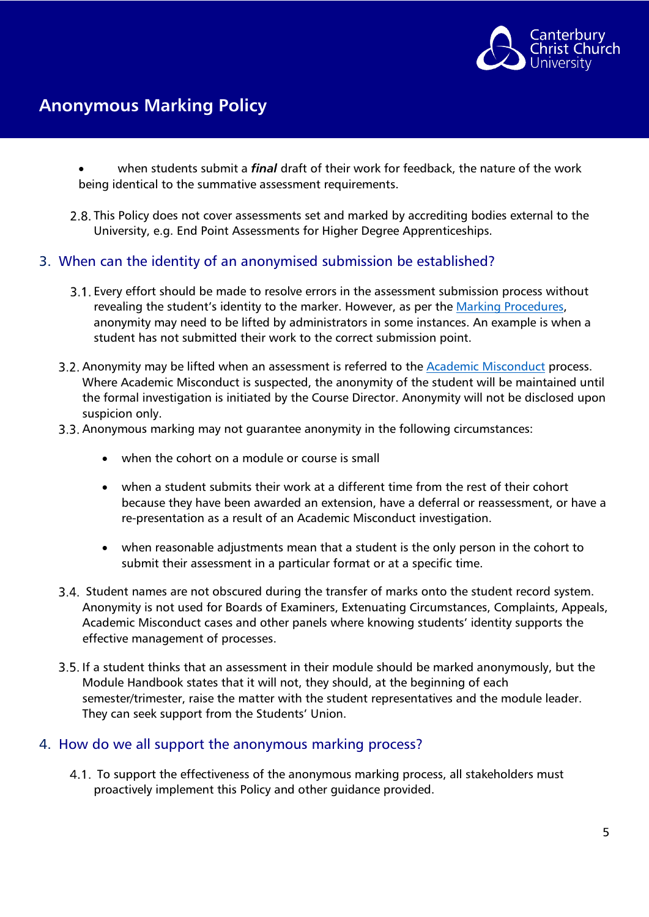

- when students submit a *final* draft of their work for feedback, the nature of the work being identical to the summative assessment requirements.
- 2.8. This Policy does not cover assessments set and marked by accrediting bodies external to the University, e.g. End Point Assessments for Higher Degree Apprenticeships.

#### <span id="page-4-0"></span>3. When can the identity of an anonymised submission be established?

- Every effort should be made to resolve errors in the assessment submission process without revealing the student's identity to the marker. However, as per the [Marking Procedures,](https://www.canterbury.ac.uk/quality-and-standards-office/regulations-policies-and-procedures/marking-procedures.aspx) anonymity may need to be lifted by administrators in some instances. An example is when a student has not submitted their work to the correct submission point.
- Anonymity may be lifted when an assessment is referred to the [Academic Misconduct](https://www.canterbury.ac.uk/learning-and-teaching-enhancement/policies/academic-integrity.aspx) process. Where Academic Misconduct is suspected, the anonymity of the student will be maintained until the formal investigation is initiated by the Course Director. Anonymity will not be disclosed upon suspicion only.

#### 3.3. Anonymous marking may not guarantee anonymity in the following circumstances:

- when the cohort on a module or course is small
- when a student submits their work at a different time from the rest of their cohort because they have been awarded an extension, have a deferral or reassessment, or have a re-presentation as a result of an Academic Misconduct investigation.
- when reasonable adjustments mean that a student is the only person in the cohort to submit their assessment in a particular format or at a specific time.
- Student names are not obscured during the transfer of marks onto the student record system. Anonymity is not used for Boards of Examiners, Extenuating Circumstances, Complaints, Appeals, Academic Misconduct cases and other panels where knowing students' identity supports the effective management of processes.
- 3.5. If a student thinks that an assessment in their module should be marked anonymously, but the Module Handbook states that it will not, they should, at the beginning of each semester/trimester, raise the matter with the student representatives and the module leader. They can seek support from the Students' Union.

#### <span id="page-4-1"></span>4. How do we all support the anonymous marking process?

4.1. To support the effectiveness of the anonymous marking process, all stakeholders must proactively implement this Policy and other guidance provided.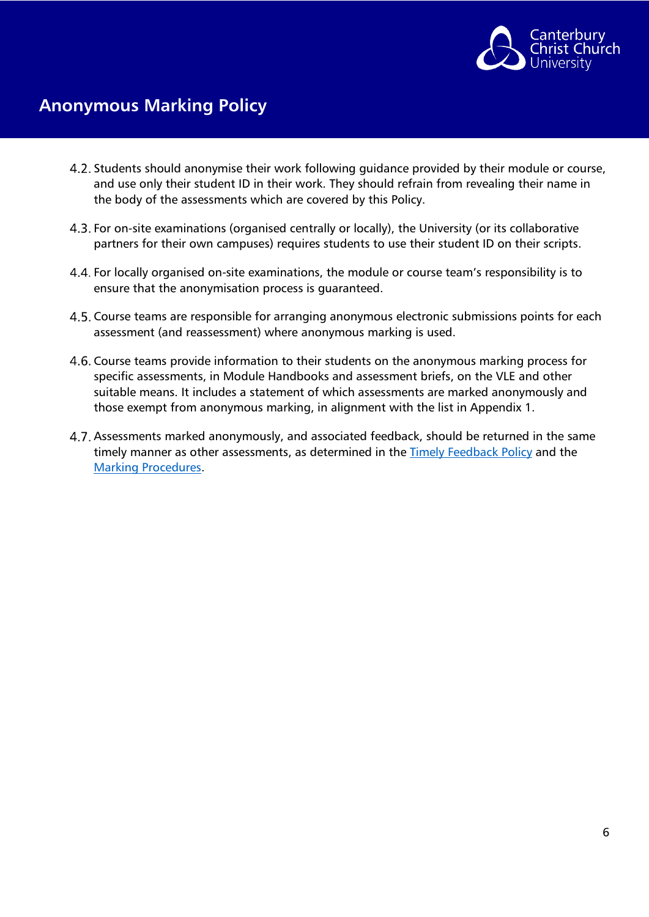

- 4.2. Students should anonymise their work following guidance provided by their module or course, and use only their student ID in their work. They should refrain from revealing their name in the body of the assessments which are covered by this Policy.
- 4.3. For on-site examinations (organised centrally or locally), the University (or its collaborative partners for their own campuses) requires students to use their student ID on their scripts.
- 4.4. For locally organised on-site examinations, the module or course team's responsibility is to ensure that the anonymisation process is guaranteed.
- 4.5. Course teams are responsible for arranging anonymous electronic submissions points for each assessment (and reassessment) where anonymous marking is used.
- 4.6. Course teams provide information to their students on the anonymous marking process for specific assessments, in Module Handbooks and assessment briefs, on the VLE and other suitable means. It includes a statement of which assessments are marked anonymously and those exempt from anonymous marking, in alignment with the list in Appendix 1.
- 4.7. Assessments marked anonymously, and associated feedback, should be returned in the same timely manner as other assessments, as determined in the [Timely Feedback Policy](https://www.canterbury.ac.uk/learning-and-teaching-enhancement/policies/timely-feedback.aspx) and the [Marking Procedures.](https://www.canterbury.ac.uk/quality-and-standards-office/regulations-policies-and-procedures/marking-procedures.aspx)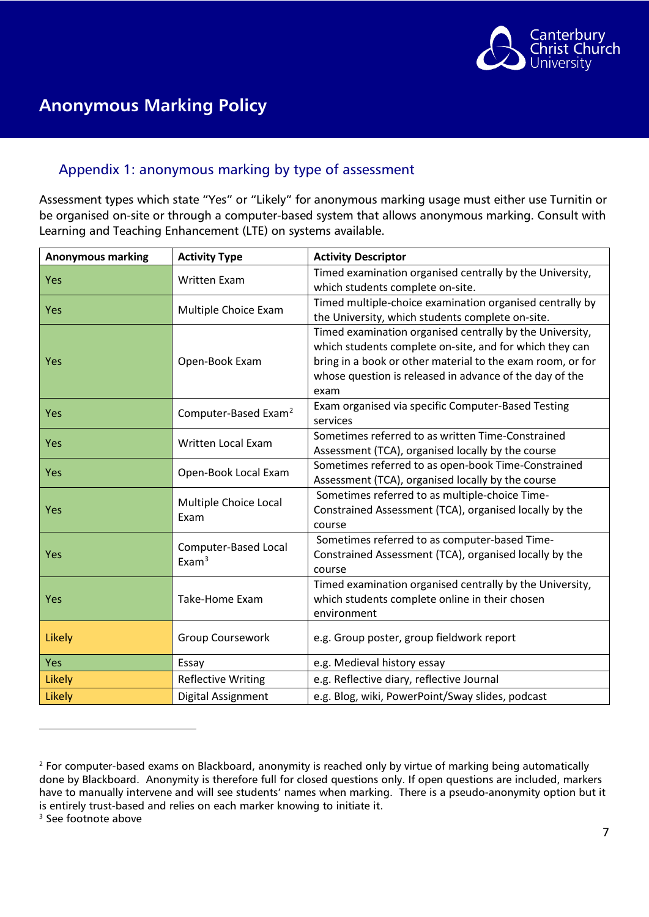

#### <span id="page-6-0"></span>Appendix 1: anonymous marking by type of assessment

Assessment types which state "Yes" or "Likely" for anonymous marking usage must either use Turnitin or be organised on-site or through a computer-based system that allows anonymous marking. Consult with Learning and Teaching Enhancement (LTE) on systems available.

| <b>Anonymous marking</b> | <b>Activity Type</b>                      | <b>Activity Descriptor</b>                                                                                                                                                                                                                           |
|--------------------------|-------------------------------------------|------------------------------------------------------------------------------------------------------------------------------------------------------------------------------------------------------------------------------------------------------|
| Yes                      | <b>Written Exam</b>                       | Timed examination organised centrally by the University,<br>which students complete on-site.                                                                                                                                                         |
| Yes                      | Multiple Choice Exam                      | Timed multiple-choice examination organised centrally by<br>the University, which students complete on-site.                                                                                                                                         |
| Yes                      | Open-Book Exam                            | Timed examination organised centrally by the University,<br>which students complete on-site, and for which they can<br>bring in a book or other material to the exam room, or for<br>whose question is released in advance of the day of the<br>exam |
| Yes                      | Computer-Based Exam <sup>2</sup>          | Exam organised via specific Computer-Based Testing<br>services                                                                                                                                                                                       |
| Yes                      | Written Local Exam                        | Sometimes referred to as written Time-Constrained<br>Assessment (TCA), organised locally by the course                                                                                                                                               |
| Yes                      | Open-Book Local Exam                      | Sometimes referred to as open-book Time-Constrained<br>Assessment (TCA), organised locally by the course                                                                                                                                             |
| Yes                      | Multiple Choice Local<br>Exam             | Sometimes referred to as multiple-choice Time-<br>Constrained Assessment (TCA), organised locally by the<br>course                                                                                                                                   |
| Yes                      | Computer-Based Local<br>Exam <sup>3</sup> | Sometimes referred to as computer-based Time-<br>Constrained Assessment (TCA), organised locally by the<br>course                                                                                                                                    |
| Yes                      | Take-Home Exam                            | Timed examination organised centrally by the University,<br>which students complete online in their chosen<br>environment                                                                                                                            |
| Likely                   | Group Coursework                          | e.g. Group poster, group fieldwork report                                                                                                                                                                                                            |
| Yes                      | Essay                                     | e.g. Medieval history essay                                                                                                                                                                                                                          |
| <b>Likely</b>            | <b>Reflective Writing</b>                 | e.g. Reflective diary, reflective Journal                                                                                                                                                                                                            |
| Likely                   | Digital Assignment                        | e.g. Blog, wiki, PowerPoint/Sway slides, podcast                                                                                                                                                                                                     |

<span id="page-6-1"></span><sup>&</sup>lt;sup>2</sup> For computer-based exams on Blackboard, anonymity is reached only by virtue of marking being automatically done by Blackboard. Anonymity is therefore full for closed questions only. If open questions are included, markers have to manually intervene and will see students' names when marking. There is a pseudo-anonymity option but it is entirely trust-based and relies on each marker knowing to initiate it.

<span id="page-6-2"></span><sup>&</sup>lt;sup>3</sup> See footnote above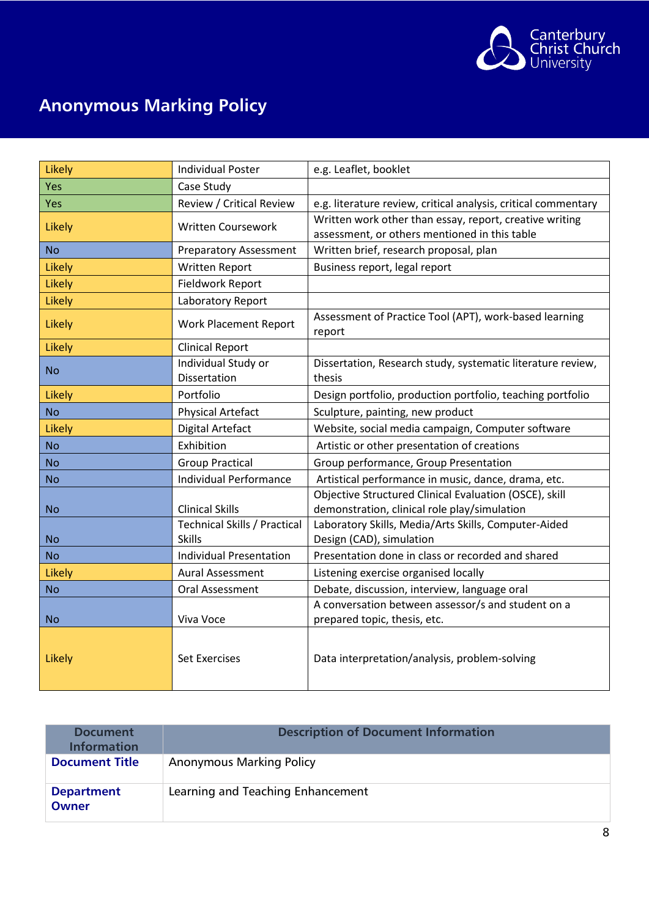

| Likely    | <b>Individual Poster</b>            | e.g. Leaflet, booklet                                            |
|-----------|-------------------------------------|------------------------------------------------------------------|
| Yes       | Case Study                          |                                                                  |
| Yes       | Review / Critical Review            | e.g. literature review, critical analysis, critical commentary   |
| Likely    | <b>Written Coursework</b>           | Written work other than essay, report, creative writing          |
|           |                                     | assessment, or others mentioned in this table                    |
| <b>No</b> | <b>Preparatory Assessment</b>       | Written brief, research proposal, plan                           |
| Likely    | Written Report                      | Business report, legal report                                    |
| Likely    | Fieldwork Report                    |                                                                  |
| Likely    | Laboratory Report                   |                                                                  |
| Likely    | <b>Work Placement Report</b>        | Assessment of Practice Tool (APT), work-based learning<br>report |
| Likely    | <b>Clinical Report</b>              |                                                                  |
| <b>No</b> | Individual Study or                 | Dissertation, Research study, systematic literature review,      |
|           | <b>Dissertation</b>                 | thesis                                                           |
| Likely    | Portfolio                           | Design portfolio, production portfolio, teaching portfolio       |
| <b>No</b> | <b>Physical Artefact</b>            | Sculpture, painting, new product                                 |
| Likely    | <b>Digital Artefact</b>             | Website, social media campaign, Computer software                |
| <b>No</b> | Exhibition                          | Artistic or other presentation of creations                      |
| <b>No</b> | <b>Group Practical</b>              | Group performance, Group Presentation                            |
| <b>No</b> | <b>Individual Performance</b>       | Artistical performance in music, dance, drama, etc.              |
|           |                                     | Objective Structured Clinical Evaluation (OSCE), skill           |
| <b>No</b> | <b>Clinical Skills</b>              | demonstration, clinical role play/simulation                     |
|           | <b>Technical Skills / Practical</b> | Laboratory Skills, Media/Arts Skills, Computer-Aided             |
| <b>No</b> | <b>Skills</b>                       | Design (CAD), simulation                                         |
| <b>No</b> | <b>Individual Presentation</b>      | Presentation done in class or recorded and shared                |
| Likely    | <b>Aural Assessment</b>             | Listening exercise organised locally                             |
| <b>No</b> | Oral Assessment                     | Debate, discussion, interview, language oral                     |
|           |                                     | A conversation between assessor/s and student on a               |
| <b>No</b> | Viva Voce                           | prepared topic, thesis, etc.                                     |
| Likely    | <b>Set Exercises</b>                | Data interpretation/analysis, problem-solving                    |

| Document<br><b>Information</b>    | <b>Description of Document Information</b> |
|-----------------------------------|--------------------------------------------|
| <b>Document Title</b>             | <b>Anonymous Marking Policy</b>            |
| <b>Department</b><br><b>Owner</b> | Learning and Teaching Enhancement          |